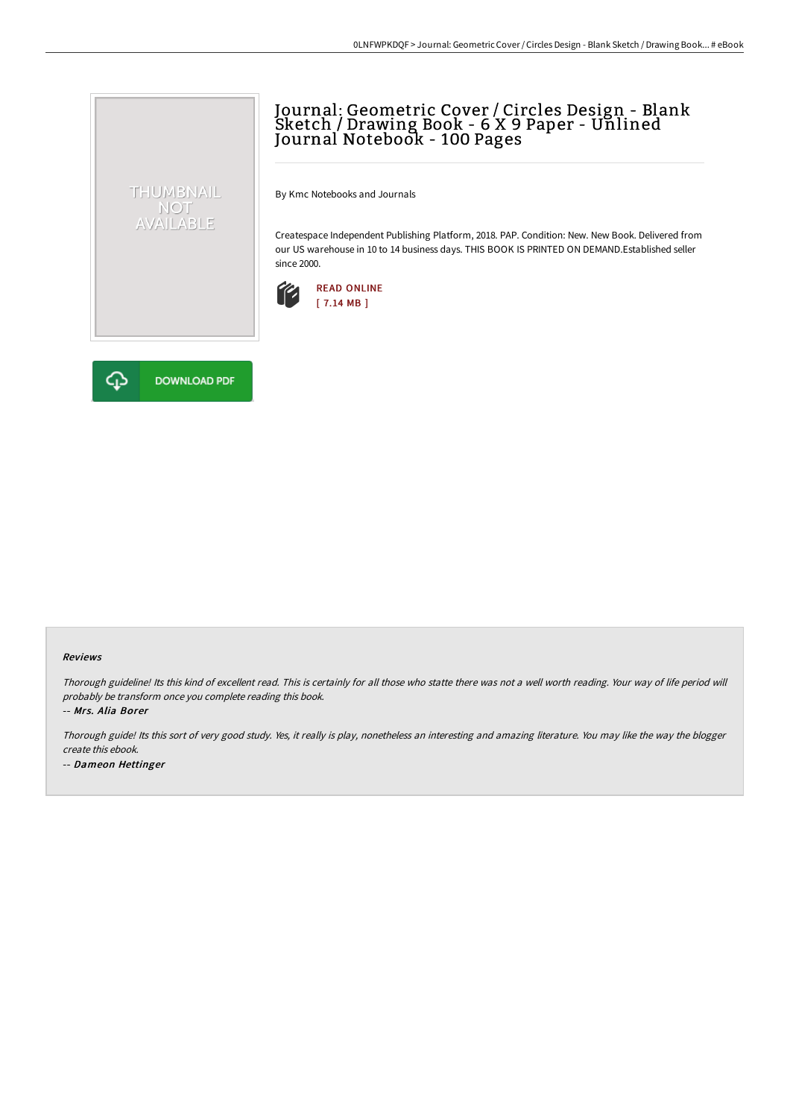# Journal: Geometric Cover / Circles Design - Blank Sketch / Drawing Book - 6 X 9 Paper - Unlined Journal Notebook - 100 Pages

By Kmc Notebooks and Journals

Createspace Independent Publishing Platform, 2018. PAP. Condition: New. New Book. Delivered from our US warehouse in 10 to 14 business days. THIS BOOK IS PRINTED ON DEMAND.Established seller since 2000.





THUMBNAIL NOT<br>AVAILABLE

#### Reviews

Thorough guideline! Its this kind of excellent read. This is certainly for all those who statte there was not <sup>a</sup> well worth reading. Your way of life period will probably be transform once you complete reading this book.

-- Mrs. Alia Borer

Thorough guide! Its this sort of very good study. Yes, it really is play, nonetheless an interesting and amazing literature. You may like the way the blogger create this ebook.

-- Dameon Hettinger